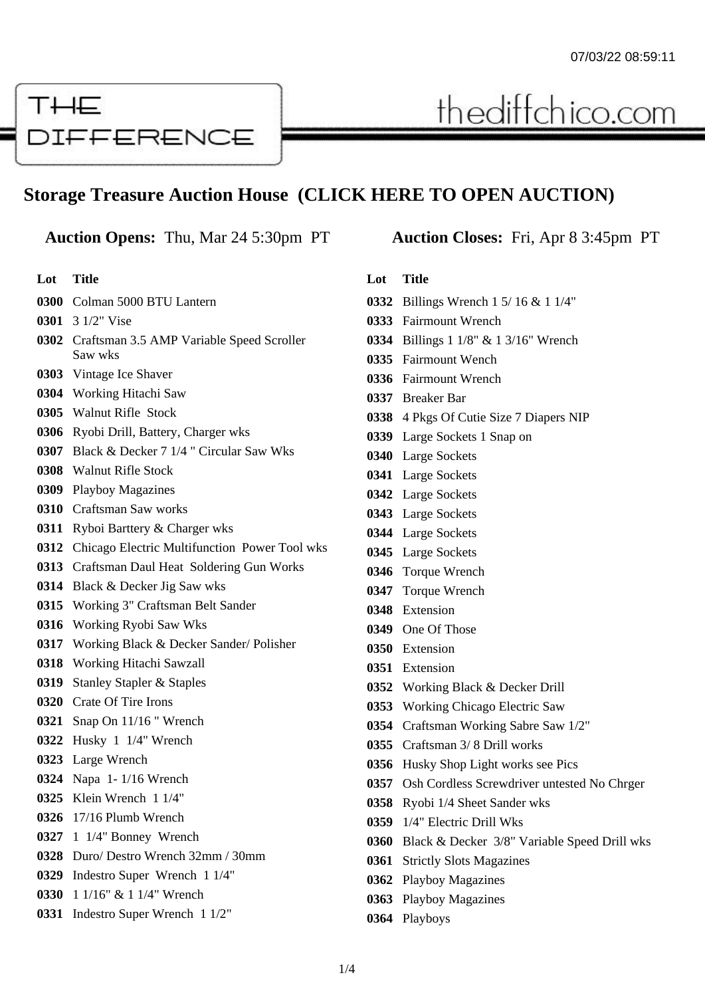## THE DIFFERENCE

## **Storage Treasure Auction House (CLICK HERE TO OPEN AUCTION)**

## **Auction Opens:** Thu, Mar 24 5:30pm PT **Auction Closes:** Fri, Apr 8 3:45pm PT

**Lot Title** Colman 5000 BTU Lantern 3 1/2" Vise Craftsman 3.5 AMP Variable Speed Scroller Saw wks Vintage Ice Shaver Working Hitachi Saw Walnut Rifle Stock Ryobi Drill, Battery, Charger wks Black & Decker 7 1/4 " Circular Saw Wks Walnut Rifle Stock Playboy Magazines Craftsman Saw works Ryboi Barttery & Charger wks Chicago Electric Multifunction Power Tool wks Craftsman Daul Heat Soldering Gun Works Black & Decker Jig Saw wks Working 3" Craftsman Belt Sander Working Ryobi Saw Wks Working Black & Decker Sander/ Polisher Working Hitachi Sawzall Stanley Stapler & Staples Crate Of Tire Irons Snap On 11/16 " Wrench Husky 1 1/4" Wrench Large Wrench Napa 1- 1/16 Wrench Klein Wrench 1 1/4" 17/16 Plumb Wrench 1 1/4" Bonney Wrench Duro/ Destro Wrench 32mm / 30mm Indestro Super Wrench 1 1/4" 1 1/16" & 1 1/4" Wrench Indestro Super Wrench 1 1/2"

thediffchico.com

## **Lot Title**

- Billings Wrench 1 5/ 16 & 1 1/4"
- Fairmount Wrench
- Billings 1 1/8" & 1 3/16" Wrench
- Fairmount Wench
- Fairmount Wrench
- Breaker Bar
- 4 Pkgs Of Cutie Size 7 Diapers NIP
- Large Sockets 1 Snap on
- Large Sockets
- Large Sockets
- Large Sockets
- Large Sockets
- Large Sockets
- Large Sockets
- Torque Wrench
- Torque Wrench
- Extension
- One Of Those
- Extension
- Extension
- Working Black & Decker Drill
- Working Chicago Electric Saw
- Craftsman Working Sabre Saw 1/2"
- Craftsman 3/ 8 Drill works
- Husky Shop Light works see Pics
- 0357 Osh Cordless Screwdriver untested No Chrger
- Ryobi 1/4 Sheet Sander wks
- 1/4" Electric Drill Wks
- Black & Decker 3/8" Variable Speed Drill wks
- Strictly Slots Magazines
- Playboy Magazines
- Playboy Magazines
- Playboys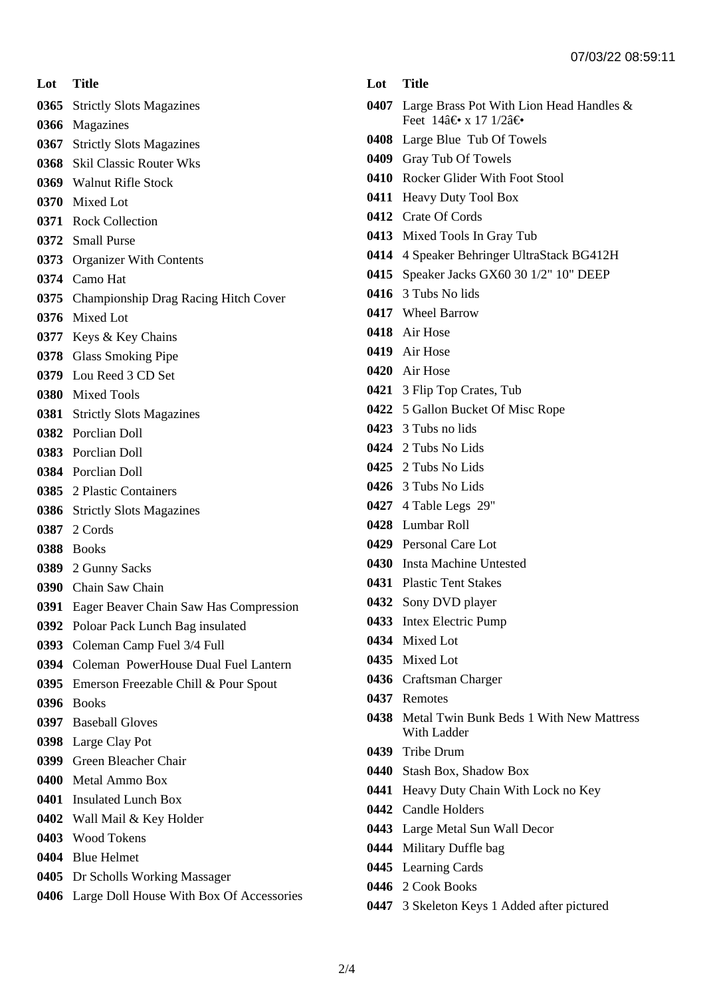**Lot Title**

- Strictly Slots Magazines
- Magazines
- Strictly Slots Magazines
- Skil Classic Router Wks
- Walnut Rifle Stock
- Mixed Lot
- Rock Collection
- Small Purse
- Organizer With Contents
- Camo Hat
- Championship Drag Racing Hitch Cover
- Mixed Lot
- Keys & Key Chains
- Glass Smoking Pipe
- Lou Reed 3 CD Set
- Mixed Tools
- Strictly Slots Magazines
- Porclian Doll
- Porclian Doll
- Porclian Doll
- 2 Plastic Containers
- Strictly Slots Magazines
- 2 Cords
- Books
- 2 Gunny Sacks
- Chain Saw Chain
- Eager Beaver Chain Saw Has Compression
- Poloar Pack Lunch Bag insulated
- Coleman Camp Fuel 3/4 Full
- Coleman PowerHouse Dual Fuel Lantern
- Emerson Freezable Chill & Pour Spout
- Books
- Baseball Gloves
- Large Clay Pot
- Green Bleacher Chair
- Metal Ammo Box
- Insulated Lunch Box
- Wall Mail & Key Holder
- Wood Tokens
- Blue Helmet
- Dr Scholls Working Massager
- Large Doll House With Box Of Accessories
- **Lot Title**
- Large Brass Pot With Lion Head Handles & Feet  $14\hat{a} \in \mathbf{x}$  17  $1/2\hat{a} \in \mathbf{A}$
- Large Blue Tub Of Towels
- Gray Tub Of Towels
- Rocker Glider With Foot Stool
- Heavy Duty Tool Box
- Crate Of Cords
- Mixed Tools In Gray Tub
- 4 Speaker Behringer UltraStack BG412H
- Speaker Jacks GX60 30 1/2" 10" DEEP
- 3 Tubs No lids
- Wheel Barrow
- Air Hose
- Air Hose
- Air Hose
- 3 Flip Top Crates, Tub
- 5 Gallon Bucket Of Misc Rope
- 3 Tubs no lids
- 2 Tubs No Lids
- 2 Tubs No Lids
- 3 Tubs No Lids
- 4 Table Legs 29"
- Lumbar Roll
- Personal Care Lot
- Insta Machine Untested
- Plastic Tent Stakes
- Sony DVD player
- Intex Electric Pump
- Mixed Lot
- Mixed Lot
- Craftsman Charger
- Remotes
- Metal Twin Bunk Beds 1 With New Mattress With Ladder
- Tribe Drum
- Stash Box, Shadow Box
- Heavy Duty Chain With Lock no Key
- Candle Holders
- Large Metal Sun Wall Decor
- Military Duffle bag
- Learning Cards
- 2 Cook Books
- 3 Skeleton Keys 1 Added after pictured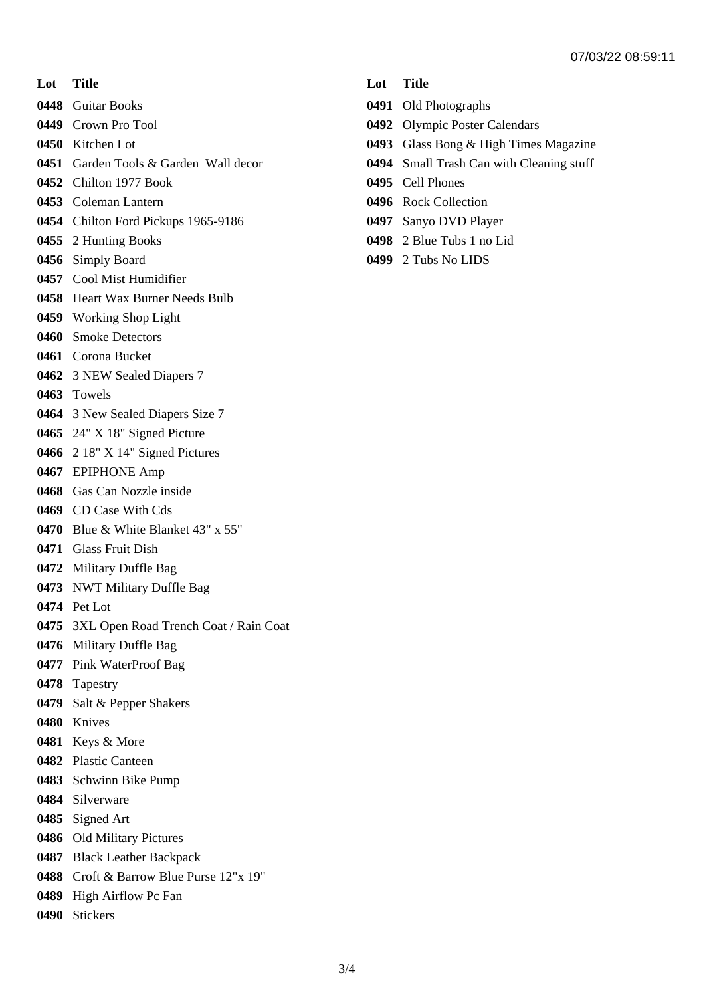**Lot Title**

Guitar Books

- Crown Pro Tool
- Kitchen Lot
- Garden Tools & Garden Wall decor
- Chilton 1977 Book
- Coleman Lantern
- Chilton Ford Pickups 1965-9186
- 2 Hunting Books
- Simply Board
- Cool Mist Humidifier
- Heart Wax Burner Needs Bulb
- Working Shop Light
- Smoke Detectors
- Corona Bucket
- 3 NEW Sealed Diapers 7
- Towels
- 3 New Sealed Diapers Size 7
- 24" X 18" Signed Picture
- 2 18" X 14" Signed Pictures
- EPIPHONE Amp
- Gas Can Nozzle inside
- CD Case With Cds
- Blue & White Blanket 43" x 55"
- Glass Fruit Dish
- Military Duffle Bag
- NWT Military Duffle Bag
- Pet Lot
- 3XL Open Road Trench Coat / Rain Coat
- Military Duffle Bag
- Pink WaterProof Bag
- Tapestry
- Salt & Pepper Shakers
- Knives
- Keys & More
- Plastic Canteen
- Schwinn Bike Pump
- Silverware
- Signed Art
- Old Military Pictures
- Black Leather Backpack
- Croft & Barrow Blue Purse 12"x 19"
- High Airflow Pc Fan
- Stickers
- **Lot Title**
- Old Photographs
- Olympic Poster Calendars
- Glass Bong & High Times Magazine
- Small Trash Can with Cleaning stuff
- Cell Phones
- Rock Collection
- Sanyo DVD Player
- 2 Blue Tubs 1 no Lid
- 2 Tubs No LIDS